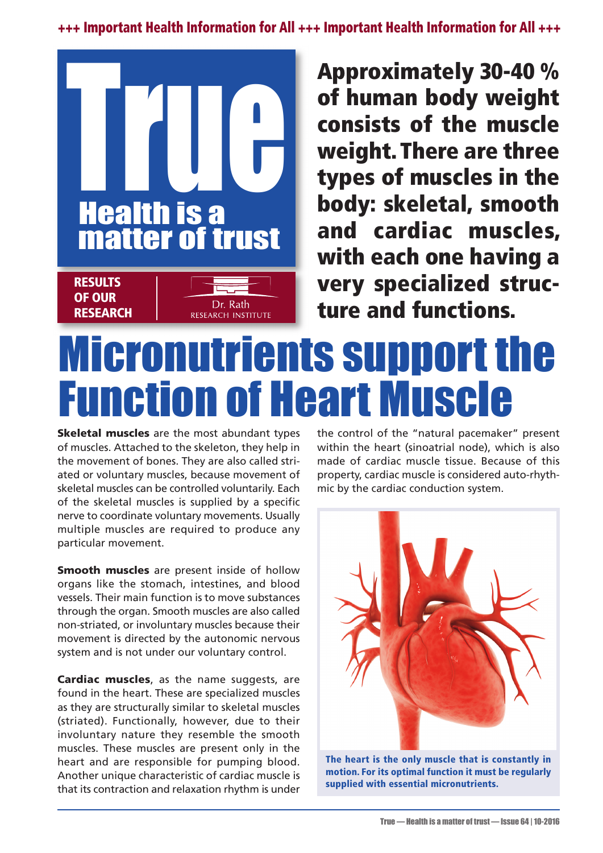**+++ Important Health Information for All +++ Important Health Information for All +++**



**Approximately 30-40 % of human body weight consists of the muscle weight. There are three types of muscles in the body: skeletal, smooth and cardiac muscles, with each one having a very specialized structure and functions.**

## Micronutrients support the Function of Heart Muscle

**Skeletal muscles** are the most abundant types of muscles. Attached to the skeleton, they help in the movement of bones. They are also called striated or voluntary muscles, because movement of skeletal muscles can be controlled voluntarily. Each of the skeletal muscles is supplied by a specific nerve to coordinate voluntary movements. Usually multiple muscles are required to produce any particular movement.

**Smooth muscles** are present inside of hollow organs like the stomach, intestines, and blood vessels. Their main function is to move substances through the organ. Smooth muscles are also called non-striated, or involuntary muscles because their movement is directed by the autonomic nervous system and is not under our voluntary control.

**Cardiac muscles**, as the name suggests, are found in the heart. These are specialized muscles as they are structurally similar to skeletal muscles (striated). Functionally, however, due to their involuntary nature they resemble the smooth muscles. These muscles are present only in the heart and are responsible for pumping blood. Another unique characteristic of cardiac muscle is that its contraction and relaxation rhythm is under the control of the "natural pacemaker" present within the heart (sinoatrial node), which is also made of cardiac muscle tissue. Because of this property, cardiac muscle is considered auto-rhythmic by the cardiac conduction system.



**The heart is the only muscle that is constantly in motion. For its optimal function it must be regularly supplied with essential micronutrients.**